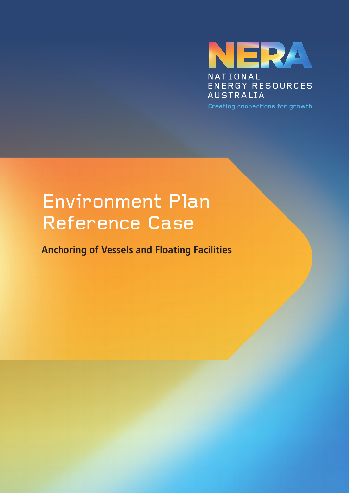

## Environment Plan Reference Case

**Anchoring of Vessels and Floating Facilities**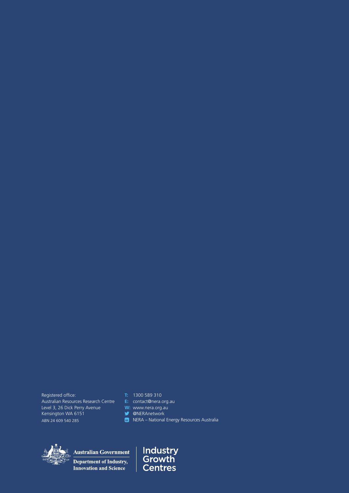Registered office: Australian Resources Research Centre Level 3, 26 Dick Perry Avenue Kensington WA 6151 ABN 24 609 540 285

**T:** 1300 589 310

**E:** contact@nera.org.au

**W:** www.nera.org.au

**W** @NERAnetwork

 $\ln$  NERA – National Energy Resources Australia



**Australian Government** 

Department of Industry, Innovation and Science

**Industry<br>Growth<br>Centres**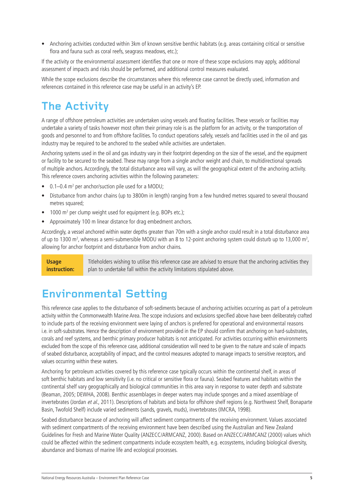• Anchoring activities conducted within 3km of known sensitive benthic habitats (e.g. areas containing critical or sensitive flora and fauna such as coral reefs, seagrass meadows, etc.);

If the activity or the environmental assessment identifies that one or more of these scope exclusions may apply, additional assessment of impacts and risks should be performed, and additional control measures evaluated.

While the scope exclusions describe the circumstances where this reference case cannot be directly used, information and references contained in this reference case may be useful in an activity's EP.

## **The Activity**

A range of offshore petroleum activities are undertaken using vessels and floating facilities. These vessels or facilities may undertake a variety of tasks however most often their primary role is as the platform for an activity, or the transportation of goods and personnel to and from offshore facilities. To conduct operations safely, vessels and facilities used in the oil and gas industry may be required to be anchored to the seabed while activities are undertaken.

Anchoring systems used in the oil and gas industry vary in their footprint depending on the size of the vessel, and the equipment or facility to be secured to the seabed. These may range from a single anchor weight and chain, to multidirectional spreads of multiple anchors. Accordingly, the total disturbance area will vary, as will the geographical extent of the anchoring activity. This reference covers anchoring activities within the following parameters:

- 0.1–0.4 m<sup>2</sup> per anchor/suction pile used for a MODU;
- • Disturbance from anchor chains (up to 3800m in length) ranging from a few hundred metres squared to several thousand metres squared:
- 1000 m<sup>2</sup> per clump weight used for equipment (e.g. BOPs etc.);
- • Approximately 100 m linear distance for drag embedment anchors.

Accordingly, a vessel anchored within water depths greater than 70m with a single anchor could result in a total disturbance area of up to 1300 m<sup>2</sup>, whereas a semi-submersible MODU with an 8 to 12-point anchoring system could disturb up to 13,000 m<sup>2</sup>, allowing for anchor footprint and disturbance from anchor chains.

**Usage instruction:**  Titleholders wishing to utilise this reference case are advised to ensure that the anchoring activities they plan to undertake fall within the activity limitations stipulated above.

## **Environmental Setting**

This reference case applies to the disturbance of soft-sediments because of anchoring activities occurring as part of a petroleum activity within the Commonwealth Marine Area. The scope inclusions and exclusions specified above have been deliberately crafted to include parts of the receiving environment were laying of anchors is preferred for operational and environmental reasons i.e. in soft-substrates. Hence the description of environment provided in the EP should confirm that anchoring on hard-substrates, corals and reef systems, and benthic primary producer habitats is not anticipated. For activities occurring within environments excluded from the scope of this reference case, additional consideration will need to be given to the nature and scale of impacts of seabed disturbance, acceptability of impact, and the control measures adopted to manage impacts to sensitive receptors, and values occurring within these waters.

Anchoring for petroleum activities covered by this reference case typically occurs within the continental shelf, in areas of soft benthic habitats and low sensitivity (i.e. no critical or sensitive flora or fauna). Seabed features and habitats within the continental shelf vary geographically and biological communities in this area vary in response to water depth and substrate (Beaman, 2005; DEWHA, 2008). Benthic assemblages in deeper waters may include sponges and a mixed assemblage of invertebrates (Jordan et al., 2011). Descriptions of habitats and biota for offshore shelf regions (e.g. Northwest Shelf, Bonaparte Basin, Twofold Shelf) include varied sediments (sands, gravels, muds), invertebrates (IMCRA, 1998).

Seabed disturbance because of anchoring will affect sediment compartments of the receiving environment. Values associated with sediment compartments of the receiving environment have been described using the Australian and New Zealand Guidelines for Fresh and Marine Water Quality (ANZECC/ARMCANZ, 2000). Based on ANZECC/ARMCANZ (2000) values which could be affected within the sediment compartments include ecosystem health, e.g. ecosystems, including biological diversity, abundance and biomass of marine life and ecological processes.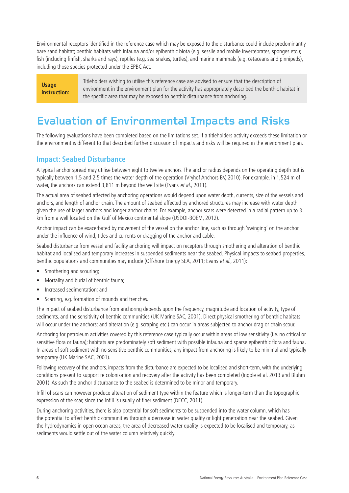Environmental receptors identified in the reference case which may be exposed to the disturbance could include predominantly bare sand habitat; benthic habitats with infauna and/or epibenthic biota (e.g. sessile and mobile invertebrates, sponges etc.); fish (including finfish, sharks and rays), reptiles (e.g. sea snakes, turtles), and marine mammals (e.g. cetaceans and pinnipeds), including those species protected under the EPBC Act.

**Usage instruction:**  Titleholders wishing to utilise this reference case are advised to ensure that the description of environment in the environment plan for the activity has appropriately described the benthic habitat in the specific area that may be exposed to benthic disturbance from anchoring.

### **Evaluation of Environmental Impacts and Risks**

The following evaluations have been completed based on the limitations set. If a titleholders activity exceeds these limitation or the environment is different to that described further discussion of impacts and risks will be required in the environment plan.

#### **Impact: Seabed Disturbance**

A typical anchor spread may utilise between eight to twelve anchors. The anchor radius depends on the operating depth but is typically between 1.5 and 2.5 times the water depth of the operation (Vryhof Anchors BV, 2010). For example, in 1,524 m of water, the anchors can extend 3,811 m beyond the well site (Evans et al., 2011).

The actual area of seabed affected by anchoring operations would depend upon water depth, currents, size of the vessels and anchors, and length of anchor chain. The amount of seabed affected by anchored structures may increase with water depth given the use of larger anchors and longer anchor chains. For example, anchor scars were detected in a radial pattern up to 3 km from a well located on the Gulf of Mexico continental slope (USDOI-BOEM, 2012).

Anchor impact can be exacerbated by movement of the vessel on the anchor line, such as through 'swinging' on the anchor under the influence of wind, tides and currents or dragging of the anchor and cable.

Seabed disturbance from vessel and facility anchoring will impact on receptors through smothering and alteration of benthic habitat and localised and temporary increases in suspended sediments near the seabed. Physical impacts to seabed properties, benthic populations and communities may include (Offshore Energy SEA, 2011; Evans et al., 2011):

- Smothering and scouring:
- Mortality and burial of benthic fauna;
- Increased sedimentation; and
- Scarring, e.g. formation of mounds and trenches.

The impact of seabed disturbance from anchoring depends upon the frequency, magnitude and location of activity, type of sediments, and the sensitivity of benthic communities (UK Marine SAC, 2001). Direct physical smothering of benthic habitats will occur under the anchors; and alteration (e.g. scraping etc.) can occur in areas subjected to anchor drag or chain scour.

Anchoring for petroleum activities covered by this reference case typically occur within areas of low sensitivity (i.e. no critical or sensitive flora or fauna); habitats are predominately soft sediment with possible infauna and sparse epibenthic flora and fauna. In areas of soft sediment with no sensitive benthic communities, any impact from anchoring is likely to be minimal and typically temporary (UK Marine SAC, 2001).

Following recovery of the anchors, impacts from the disturbance are expected to be localised and short-term, with the underlying conditions present to support re colonisation and recovery after the activity has been completed (Ingole et al. 2013 and Bluhm 2001). As such the anchor disturbance to the seabed is determined to be minor and temporary.

Infill of scars can however produce alteration of sediment type within the feature which is longer-term than the topographic expression of the scar, since the infill is usually of finer sediment (DECC, 2011).

During anchoring activities, there is also potential for soft sediments to be suspended into the water column, which has the potential to affect benthic communities through a decrease in water quality or light penetration near the seabed. Given the hydrodynamics in open ocean areas, the area of decreased water quality is expected to be localised and temporary, as sediments would settle out of the water column relatively quickly.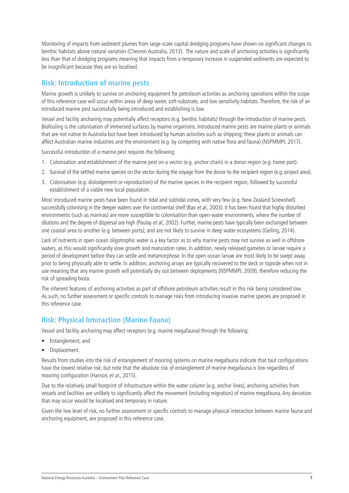Monitoring of impacts from sediment plumes from large-scale capital dredging programs have shown no significant changes to benthic habitats above natural variation (Chevron Australia, 2013). The nature and scale of anchoring activities is significantly less than that of dredging programs meaning that impacts from a temporary increase in suspended sediments are expected to be insignificant because they are so localised.

#### **Risk: Introduction of marine pests**

Marine growth is unlikely to survive on anchoring equipment for petroleum activities as anchoring operations within the scope of this reference case will occur within areas of deep water, soft-substrate, and low sensitivity habitats. Therefore, the risk of an introduced marine pest successfully being introduced and establishing is low.

Vessel and facility anchoring may potentially affect receptors (e.g. benthic habitats) through the introduction of marine pests. Biofouling is the colonisation of immersed surfaces by marine organisms. Introduced marine pests are marine plants or animals that are not native to Australia but have been introduced by human activities such as shipping; these plants or animals can affect Australian marine industries and the environment (e.g. by competing with native flora and fauna) (NSPMMPI, 2017).

Successful introduction of a marine pest requires the following:

- 1. Colonisation and establishment of the marine pest on a vector (e.g. anchor chain) in a donor region (e.g. home port).
- 2. Survival of the settled marine species on the vector during the voyage from the donor to the recipient region (e.g. project area).
- 3. Colonisation (e.g. dislodgement or reproduction) of the marine species in the recipient region, followed by successful establishment of a viable new local population.

Most introduced marine pests have been found in tidal and subtidal zones, with very few (e.g. New Zealand Screwshell) successfully colonising in the deeper waters over the continental shelf (Bax et al., 2003). It has been found that highly disturbed environments (such as marinas) are more susceptible to colonisation than open-water environments, where the number of dilutions and the degree of dispersal are high (Paulay et al., 2002). Further, marine pests have typically been exchanged between one coastal area to another (e.g. between ports); and are not likely to survive in deep water ecosystems (Geiling, 2014).

Lack of nutrients in open ocean oligotrophic water is a key factor as to why marine pests may not survive as well in offshore waters, as this would significantly slow growth and maturation rates. In addition, newly released gametes or larvae require a period of development before they can settle and metamorphose. In the open ocean larvae are most likely to be swept away prior to being physically able to settle. In addition, anchoring arrays are typically recovered to the deck or topside when not in use meaning that any marine growth will potentially dry out between deployments (NSPMMPI, 2009), therefore reducing the risk of spreading biota.

The inherent features of anchoring activities as part of offshore petroleum activities result in this risk being considered low. As such, no further assessment or specific controls to manage risks from introducing invasive marine species are proposed in this reference case.

#### **Risk: Physical Interaction (Marine Fauna)**

Vessel and facility anchoring may affect receptors (e.g. marine megafauna) through the following:

- • Entanglement; and
- Displacement.

Results from studies into the risk of entanglement of mooring systems on marine megafauna indicate that taut configurations have the lowest relative risk; but note that the absolute risk of entanglement of marine megafauna is low regardless of mooring configuration (Harnois et al., 2015).

Due to the relatively small footprint of infrastructure within the water column (e.g. anchor lines), anchoring activities from vessels and facilities are unlikely to significantly affect the movement (including migration) of marine megafauna. Any deviation that may occur would be localised and temporary in nature.

Given the low level of risk, no further assessment or specific controls to manage physical interaction between marine fauna and anchoring equipment, are proposed in this reference case.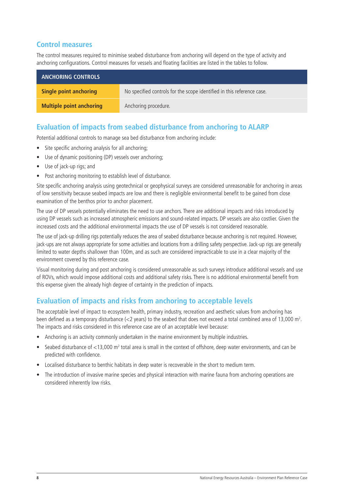#### **Control measures**

The control measures required to minimise seabed disturbance from anchoring will depend on the type of activity and anchoring configurations. Control measures for vessels and floating facilities are listed in the tables to follow.

| <b>ANCHORING CONTROLS</b>       |                                                                        |
|---------------------------------|------------------------------------------------------------------------|
| Single point anchoring          | No specified controls for the scope identified in this reference case. |
| <b>Multiple point anchoring</b> | Anchoring procedure.                                                   |

#### **Evaluation of impacts from seabed disturbance from anchoring to ALARP**

Potential additional controls to manage sea bed disturbance from anchoring include:

- Site specific anchoring analysis for all anchoring;
- Use of dynamic positioning (DP) vessels over anchoring;
- • Use of jack-up rigs; and
- Post anchoring monitoring to establish level of disturbance.

Site specific anchoring analysis using geotechnical or geophysical surveys are considered unreasonable for anchoring in areas of low sensitivity because seabed impacts are low and there is negligible environmental benefit to be gained from close examination of the benthos prior to anchor placement.

The use of DP vessels potentially eliminates the need to use anchors. There are additional impacts and risks introduced by using DP vessels such as increased atmospheric emissions and sound-related impacts. DP vessels are also costlier. Given the increased costs and the additional environmental impacts the use of DP vessels is not considered reasonable.

The use of jack-up drilling rigs potentially reduces the area of seabed disturbance because anchoring is not required. However, jack-ups are not always appropriate for some activities and locations from a drilling safety perspective. Jack-up rigs are generally limited to water depths shallower than 100m, and as such are considered impracticable to use in a clear majority of the environment covered by this reference case.

Visual monitoring during and post anchoring is considered unreasonable as such surveys introduce additional vessels and use of ROVs, which would impose additional costs and additional safety risks. There is no additional environmental benefit from this expense given the already high degree of certainty in the prediction of impacts.

#### **Evaluation of impacts and risks from anchoring to acceptable levels**

The acceptable level of impact to ecosystem health, primary industry, recreation and aesthetic values from anchoring has been defined as a temporary disturbance (<2 years) to the seabed that does not exceed a total combined area of 13,000 m<sup>2</sup>. The impacts and risks considered in this reference case are of an acceptable level because:

- Anchoring is an activity commonly undertaken in the marine environment by multiple industries.
- Seabed disturbance of  $<$ 13,000 m<sup>2</sup> total area is small in the context of offshore, deep water environments, and can be predicted with confidence.
- Localised disturbance to benthic habitats in deep water is recoverable in the short to medium term.
- The introduction of invasive marine species and physical interaction with marine fauna from anchoring operations are considered inherently low risks.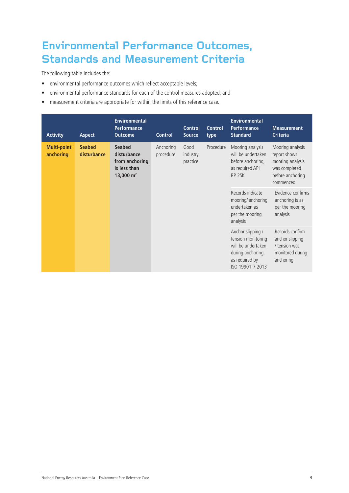## **Environmental Performance Outcomes, Standards and Measurement Criteria**

The following table includes the:

- environmental performance outcomes which reflect acceptable levels;
- • environmental performance standards for each of the control measures adopted; and
- measurement criteria are appropriate for within the limits of this reference case.

| <b>Activity</b>                 | <b>Aspect</b>                | <b>Environmental</b><br><b>Performance</b><br><b>Outcome</b>                  | <b>Control</b>         | <b>Control</b><br><b>Source</b> | <b>Control</b><br>type | <b>Environmental</b><br><b>Performance</b><br><b>Standard</b>                                                            | <b>Measurement</b><br><b>Criteria</b>                                                                  |
|---------------------------------|------------------------------|-------------------------------------------------------------------------------|------------------------|---------------------------------|------------------------|--------------------------------------------------------------------------------------------------------------------------|--------------------------------------------------------------------------------------------------------|
| <b>Multi-point</b><br>anchoring | <b>Seabed</b><br>disturbance | <b>Seabed</b><br>disturbance<br>from anchoring<br>is less than<br>13,000 $m2$ | Anchoring<br>procedure | Good<br>industry<br>practice    | Procedure              | Mooring analysis<br>will be undertaken<br>before anchoring,<br>as required API<br>RP <sub>2SK</sub>                      | Mooring analysis<br>report shows<br>mooring analysis<br>was completed<br>before anchoring<br>commenced |
|                                 |                              |                                                                               |                        |                                 |                        | Records indicate<br>mooring/ anchoring<br>undertaken as<br>per the mooring<br>analysis                                   | Evidence confirms<br>anchoring is as<br>per the mooring<br>analysis                                    |
|                                 |                              |                                                                               |                        |                                 |                        | Anchor slipping /<br>tension monitoring<br>will be undertaken<br>during anchoring,<br>as required by<br>ISO 19901-7:2013 | Records confirm<br>anchor slipping<br>/ tension was<br>monitored during<br>anchoring                   |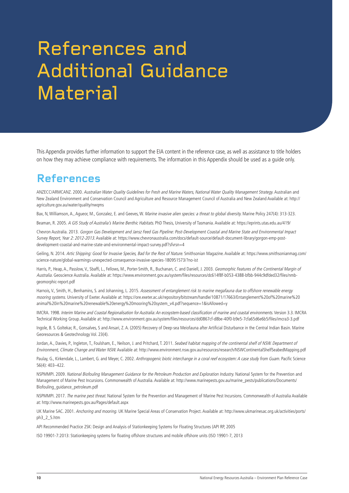# References and Additional Guidance **Material**

This Appendix provides further information to support the EIA content in the reference case, as well as assistance to title holders on how they may achieve compliance with requirements. The information in this Appendix should be used as a guide only.

### **References**

ANZECC/ARMCANZ. 2000. Australian Water Quality Guidelines for Fresh and Marine Waters, National Water Quality Management Strategy. Australian and New Zealand Environment and Conservation Council and Agriculture and Resource Management Council of Australia and New Zealand Available at: http:// agriculture.gov.au/water/quality/nwqms

Bax, N, Williamson, A., Agueor, M., Gonzalez, E. and Geeves, W. Marine invasive alien species: a threat to global diversity. Marine Policy 247(4): 313-323.

Beaman, R. 2005. A GIS Study of Australia's Marine Benthic Habitats. PhD Thesis, University of Tasmania. Available at: https://eprints.utas.edu.au/419/

Chevron Australia. 2013. Gorgon Gas Development and Jansz Feed Gas Pipeline: Post-Development Coastal and Marine State and Environmental Impact Survey Report, Year 2: 2012-2013. Available at: https://www.chevronaustralia.com/docs/default-source/default-document-library/gorgon-emp-postdevelopment-coastal-and-marine-state-and-environmental-impact-survey.pdf?sfvrsn=4

Geiling, N. 2014. Artic Shipping: Good for Invasive Species, Bad for the Rest of Nature. Smithsonian Magazine. Available at: https://www.smithsonianmag.com/ science-nature/global-warmings-unexpected-consequence-invasive-species-180951573/?no-ist

Harris, P., Heap, A., Passlow, V., Sbaffi, L., Fellows, M., Porter-Smith, R., Buchanan, C. and Daniell, J. 2003. Geomorphic Features of the Continental Margin of Australia. Geoscience Australia. Available at: https://www.environment.gov.au/system/files/resources/dc614f8f-b053-4388-bfbb-944c9dfded32/files/nmbgeomorphic-report.pdf

Harnois, V., Smith, H., Benhamins, S. and Johanning, L. 2015. Assessment of entanglement risk to marine megafauna due to offshore renewable energy mooring systems. University of Exeter. Available at: https://ore.exeter.ac.uk/repository/bitstream/handle/10871/17663/Entanglement%20of%20marine%20 animal%20in%20marine%20renewable%20energy%20mooring%20system\_v4.pdf?sequence=1&isAllowed=y

IMCRA. 1998. Interim Marine and Coastal Regionalisation for Australia:An ecosystem-based classification of marine and coastal environments. Version 3.3. IMCRA Technical Working Group. Available at: http://www.environment.gov.au/system/files/resources/dd0867cf-d8be-40f0-b9e5-7cfa65d6e6b5/files/imcra3-3.pdf

Ingole, B. S. Goltekar, R., Gonsalves, S and Ansari, Z. A. (2005) Recovery of Deep-sea Meiofauna after Artificial Disturbance in the Central Indian Basin. Marine Georesources & Geotechnology Vol. 23(4).

Jordan, A., Davies, P., Ingleton, T., Foulsham, E., Neilson, J. and Pritchard, T. 2011. Seabed habitat mapping of the continental shelf of NSW. Department of Environment, Climate Change and Water NSW. Available at: http://www.environment.nsw.gov.au/resources/research/NSWContinentalShelfSeabedMapping.pdf

Paulay, G., Kirkendale, L., Lambert, G. and Meyer, C. 2002. Anthropogenic biotic interchange in a coral reef ecosystem: A case study from Guam. Pacific Science 56(4): 403–422.

NSPMMPI. 2009. National Biofouling Management Guidance for the Petroleum Production and Exploration Industry. National System for the Prevention and Management of Marine Pest Incursions. Commonwealth of Australia. Available at: http://www.marinepests.gov.au/marine\_pests/publications/Documents/ Biofouling\_guidance\_petroleum.pdf

NSPMMPI. 2017. The marine pest threat. National System for the Prevention and Management of Marine Pest Incursions. Commonwealth of Australia Available at: http://www.marinepests.gov.au/Pages/default.aspx

UK Marine SAC. 2001. Anchoring and mooring. UK Marine Special Areas of Conservation Project. Available at: http://www.ukmarinesac.org.uk/activities/ports/ ph3\_2\_5.htm

API Recommended Practice 2SK: Design and Analysis of Stationkeeping Systems for Floating Structures (API RP, 2005

ISO 19901-7:2013: Stationkeeping systems for floating offshore structures and mobile offshore units (ISO 19901-7, 2013